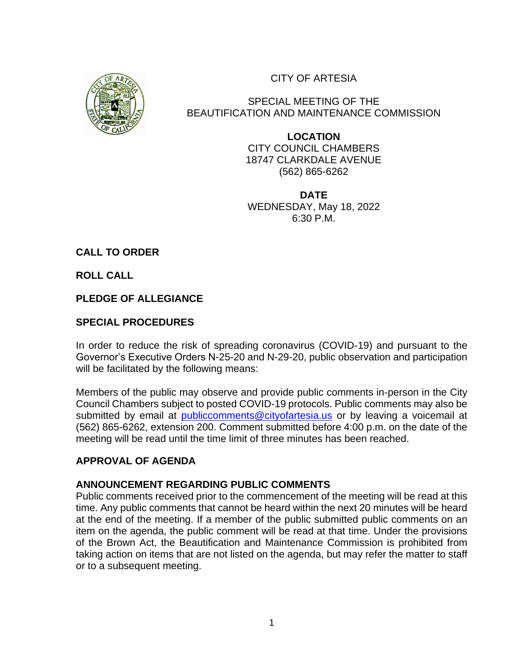CITY OF ARTESIA



SPECIAL MEETING OF THE BEAUTIFICATION AND MAINTENANCE COMMISSION

> **LOCATION** CITY COUNCIL CHAMBERS 18747 CLARKDALE AVENUE (562) 865-6262

> **DATE** WEDNESDAY, May 18, 2022 6:30 P.M.

**CALL TO ORDER** 

**ROLL CALL** 

**PLEDGE OF ALLEGIANCE**

# **SPECIAL PROCEDURES**

In order to reduce the risk of spreading coronavirus (COVID-19) and pursuant to the Governor's Executive Orders N-25-20 and N-29-20, public observation and participation will be facilitated by the following means:

Members of the public may observe and provide public comments in-person in the City Council Chambers subject to posted COVID-19 protocols. Public comments may also be submitted by email at [publiccomments@cityofartesia.us](mailto:publiccomments@cityofartesia.us) or by leaving a voicemail at (562) 865-6262, extension 200. Comment submitted before 4:00 p.m. on the date of the meeting will be read until the time limit of three minutes has been reached.

## **APPROVAL OF AGENDA**

## **ANNOUNCEMENT REGARDING PUBLIC COMMENTS**

Public comments received prior to the commencement of the meeting will be read at this time. Any public comments that cannot be heard within the next 20 minutes will be heard at the end of the meeting. If a member of the public submitted public comments on an item on the agenda, the public comment will be read at that time. Under the provisions of the Brown Act, the Beautification and Maintenance Commission is prohibited from taking action on items that are not listed on the agenda, but may refer the matter to staff or to a subsequent meeting.